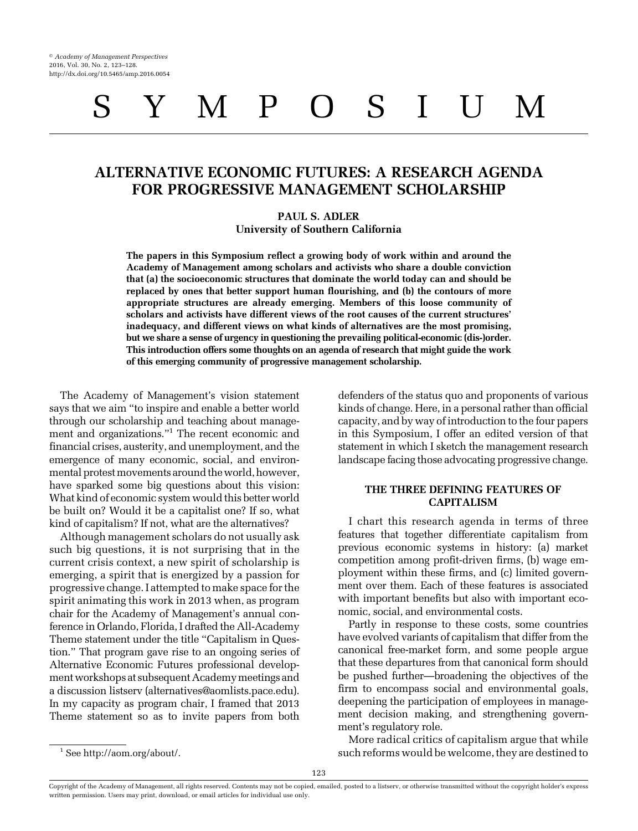# Y M P O S I U

## ALTERNATIVE ECONOMIC FUTURES: A RESEARCH AGENDA FOR PROGRESSIVE MANAGEMENT SCHOLARSHIP

#### PAUL S. ADLER University of Southern California

The papers in this Symposium reflect a growing body of work within and around the Academy of Management among scholars and activists who share a double conviction that (a) the socioeconomic structures that dominate the world today can and should be replaced by ones that better support human flourishing, and (b) the contours of more appropriate structures are already emerging. Members of this loose community of scholars and activists have different views of the root causes of the current structures' inadequacy, and different views on what kinds of alternatives are the most promising, but we share a sense of urgency in questioning the prevailing political-economic (dis-)order. This introduction offers some thoughts on an agenda of research that might guide the work of this emerging community of progressive management scholarship.

The Academy of Management's vision statement says that we aim "to inspire and enable a better world through our scholarship and teaching about management and organizations."<sup>1</sup> The recent economic and financial crises, austerity, and unemployment, and the emergence of many economic, social, and environmental protest movements around the world, however, have sparked some big questions about this vision: What kind of economic system would this better world be built on? Would it be a capitalist one? If so, what kind of capitalism? If not, what are the alternatives?

Although management scholars do not usually ask such big questions, it is not surprising that in the current crisis context, a new spirit of scholarship is emerging, a spirit that is energized by a passion for progressive change. I attempted to make space for the spirit animating this work in 2013 when, as program chair for the Academy of Management's annual conference in Orlando, Florida, I drafted the All-Academy Theme statement under the title "Capitalism in Question." That program gave rise to an ongoing series of Alternative Economic Futures professional developmentworkshops at subsequent Academymeetings and a discussion listserv [\(alternatives@aomlists.pace.edu](mailto:alternatives@aomlists.pace.edu)). In my capacity as program chair, I framed that 2013 Theme statement so as to invite papers from both defenders of the status quo and proponents of various kinds of change. Here, in a personal rather than official capacity, and by way of introduction to the four papers in this Symposium, I offer an edited version of that statement in which I sketch the management research landscape facing those advocating progressive change.

### THE THREE DEFINING FEATURES OF CAPITALISM

I chart this research agenda in terms of three features that together differentiate capitalism from previous economic systems in history: (a) market competition among profit-driven firms, (b) wage employment within these firms, and (c) limited government over them. Each of these features is associated with important benefits but also with important economic, social, and environmental costs.

Partly in response to these costs, some countries have evolved variants of capitalism that differ from the canonical free-market form, and some people argue that these departures from that canonical form should be pushed further—broadening the objectives of the firm to encompass social and environmental goals, deepening the participation of employees in management decision making, and strengthening government's regulatory role.

More radical critics of capitalism argue that while <sup>1</sup> See [http://aom.org/about/.](http://aom.org/about/)

Copyright of the Academy of Management, all rights reserved. Contents may not be copied, emailed, posted to a listserv, or otherwise transmitted without the copyright holder's express written permission. Users may print, download, or email articles for individual use only.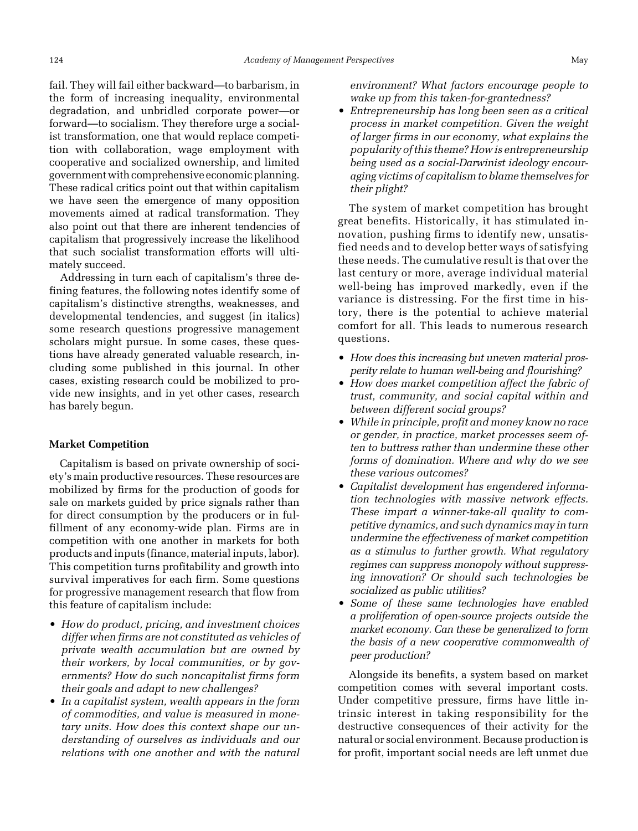fail. They will fail either backward—to barbarism, in the form of increasing inequality, environmental degradation, and unbridled corporate power—or forward—to socialism. They therefore urge a socialist transformation, one that would replace competition with collaboration, wage employment with cooperative and socialized ownership, and limited governmentwith comprehensive economic planning. These radical critics point out that within capitalism we have seen the emergence of many opposition movements aimed at radical transformation. They also point out that there are inherent tendencies of capitalism that progressively increase the likelihood that such socialist transformation efforts will ultimately succeed.

Addressing in turn each of capitalism's three defining features, the following notes identify some of capitalism's distinctive strengths, weaknesses, and developmental tendencies, and suggest (in italics) some research questions progressive management scholars might pursue. In some cases, these questions have already generated valuable research, including some published in this journal. In other cases, existing research could be mobilized to provide new insights, and in yet other cases, research has barely begun.

#### Market Competition

Capitalism is based on private ownership of society's main productive resources. These resources are mobilized by firms for the production of goods for sale on markets guided by price signals rather than for direct consumption by the producers or in fulfillment of any economy-wide plan. Firms are in competition with one another in markets for both products and inputs (finance, material inputs, labor). This competition turns profitability and growth into survival imperatives for each firm. Some questions for progressive management research that flow from this feature of capitalism include:

- How do product, pricing, and investment choices differ when firms are not constituted as vehicles of private wealth accumulation but are owned by their workers, by local communities, or by governments? How do such noncapitalist firms form their goals and adapt to new challenges?
- In a capitalist system, wealth appears in the form of commodities, and value is measured in monetary units. How does this context shape our understanding of ourselves as individuals and our relations with one another and with the natural

environment? What factors encourage people to wake up from this taken-for-grantedness?

• Entrepreneurship has long been seen as a critical process in market competition. Given the weight of larger firms in our economy, what explains the popularity of this theme? How is entrepreneurship being used as a social-Darwinist ideology encouraging victims of capitalism to blame themselves for their plight?

The system of market competition has brought great benefits. Historically, it has stimulated innovation, pushing firms to identify new, unsatisfied needs and to develop better ways of satisfying these needs. The cumulative result is that over the last century or more, average individual material well-being has improved markedly, even if the variance is distressing. For the first time in history, there is the potential to achieve material comfort for all. This leads to numerous research questions.

- How does this increasing but uneven material prosperity relate to human well-being and flourishing?
- How does market competition affect the fabric of trust, community, and social capital within and between different social groups?
- While in principle, profit and money know no race or gender, in practice, market processes seem often to buttress rather than undermine these other forms of domination. Where and why do we see these various outcomes?
- Capitalist development has engendered information technologies with massive network effects. These impart a winner-take-all quality to competitive dynamics, and such dynamics may in turn undermine the effectiveness of market competition as a stimulus to further growth. What regulatory regimes can suppress monopoly without suppressing innovation? Or should such technologies be socialized as public utilities?
- Some of these same technologies have enabled a proliferation of open-source projects outside the market economy. Can these be generalized to form the basis of a new cooperative commonwealth of peer production?

Alongside its benefits, a system based on market competition comes with several important costs. Under competitive pressure, firms have little intrinsic interest in taking responsibility for the destructive consequences of their activity for the natural or social environment. Because production is for profit, important social needs are left unmet due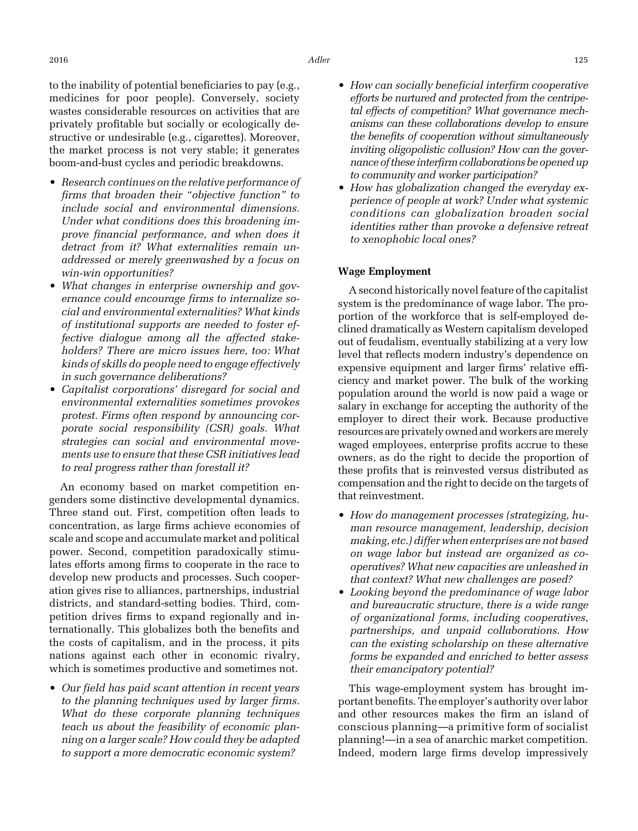to the inability of potential beneficiaries to pay (e.g., medicines for poor people). Conversely, society wastes considerable resources on activities that are privately profitable but socially or ecologically destructive or undesirable (e.g., cigarettes). Moreover, the market process is not very stable; it generates boom-and-bust cycles and periodic breakdowns.

- Research continues on the relative performance of firms that broaden their "objective function" to include social and environmental dimensions. Under what conditions does this broadening improve financial performance, and when does it detract from it? What externalities remain unaddressed or merely greenwashed by a focus on win-win opportunities?
- What changes in enterprise ownership and governance could encourage firms to internalize social and environmental externalities? What kinds of institutional supports are needed to foster effective dialogue among all the affected stakeholders? There are micro issues here, too: What kinds of skills do people need to engage effectively in such governance deliberations?
- Capitalist corporations' disregard for social and environmental externalities sometimes provokes protest. Firms often respond by announcing corporate social responsibility (CSR) goals. What strategies can social and environmental movements use to ensure that these CSR initiatives lead to real progress rather than forestall it?

An economy based on market competition engenders some distinctive developmental dynamics. Three stand out. First, competition often leads to concentration, as large firms achieve economies of scale and scope and accumulate market and political power. Second, competition paradoxically stimulates efforts among firms to cooperate in the race to develop new products and processes. Such cooperation gives rise to alliances, partnerships, industrial districts, and standard-setting bodies. Third, competition drives firms to expand regionally and internationally. This globalizes both the benefits and the costs of capitalism, and in the process, it pits nations against each other in economic rivalry, which is sometimes productive and sometimes not.

• Our field has paid scant attention in recent years to the planning techniques used by larger firms. What do these corporate planning techniques teach us about the feasibility of economic planning on a larger scale? How could they be adapted to support a more democratic economic system?

- How can socially beneficial interfirm cooperative efforts be nurtured and protected from the centripetal effects of competition? What governance mechanisms can these collaborations develop to ensure the benefits of cooperation without simultaneously inviting oligopolistic collusion? How can the governance of these interfirm collaborations be opened up to community and worker participation?
- How has globalization changed the everyday experience of people at work? Under what systemic conditions can globalization broaden social identities rather than provoke a defensive retreat to xenophobic local ones?

#### Wage Employment

A second historically novel feature of the capitalist system is the predominance of wage labor. The proportion of the workforce that is self-employed declined dramatically as Western capitalism developed out of feudalism, eventually stabilizing at a very low level that reflects modern industry's dependence on expensive equipment and larger firms' relative efficiency and market power. The bulk of the working population around the world is now paid a wage or salary in exchange for accepting the authority of the employer to direct their work. Because productive resources are privately owned and workers are merely waged employees, enterprise profits accrue to these owners, as do the right to decide the proportion of these profits that is reinvested versus distributed as compensation and the right to decide on the targets of that reinvestment.

- How do management processes (strategizing, human resource management, leadership, decision making, etc.) differ when enterprises are not based on wage labor but instead are organized as cooperatives? What new capacities are unleashed in that context? What new challenges are posed?
- Looking beyond the predominance of wage labor and bureaucratic structure, there is a wide range of organizational forms, including cooperatives, partnerships, and unpaid collaborations. How can the existing scholarship on these alternative forms be expanded and enriched to better assess their emancipatory potential?

This wage-employment system has brought important benefits. The employer's authority over labor and other resources makes the firm an island of conscious planning—a primitive form of socialist planning!—in a sea of anarchic market competition. Indeed, modern large firms develop impressively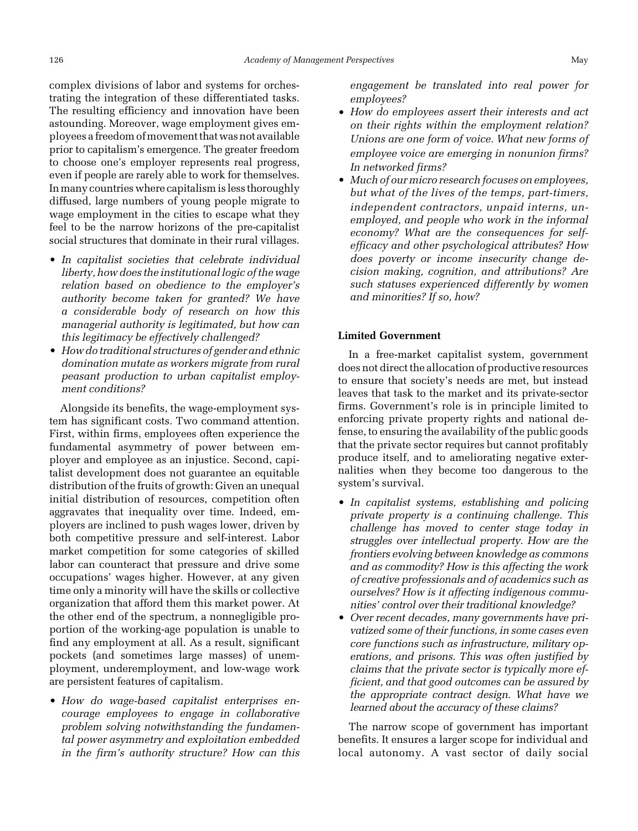complex divisions of labor and systems for orchestrating the integration of these differentiated tasks. The resulting efficiency and innovation have been astounding. Moreover, wage employment gives employees a freedom ofmovement that was not available prior to capitalism's emergence. The greater freedom to choose one's employer represents real progress, even if people are rarely able to work for themselves. Inmany countries where capitalism is less thoroughly diffused, large numbers of young people migrate to wage employment in the cities to escape what they feel to be the narrow horizons of the pre-capitalist social structures that dominate in their rural villages.

- In capitalist societies that celebrate individual liberty, how does the institutional logic of the wage relation based on obedience to the employer's authority become taken for granted? We have a considerable body of research on how this managerial authority is legitimated, but how can this legitimacy be effectively challenged?
- How do traditional structures of gender and ethnic domination mutate as workers migrate from rural peasant production to urban capitalist employment conditions?

Alongside its benefits, the wage-employment system has significant costs. Two command attention. First, within firms, employees often experience the fundamental asymmetry of power between employer and employee as an injustice. Second, capitalist development does not guarantee an equitable distribution of the fruits of growth: Given an unequal initial distribution of resources, competition often aggravates that inequality over time. Indeed, employers are inclined to push wages lower, driven by both competitive pressure and self-interest. Labor market competition for some categories of skilled labor can counteract that pressure and drive some occupations' wages higher. However, at any given time only a minority will have the skills or collective organization that afford them this market power. At the other end of the spectrum, a nonnegligible proportion of the working-age population is unable to find any employment at all. As a result, significant pockets (and sometimes large masses) of unemployment, underemployment, and low-wage work are persistent features of capitalism.

• How do wage-based capitalist enterprises encourage employees to engage in collaborative problem solving notwithstanding the fundamental power asymmetry and exploitation embedded in the firm's authority structure? How can this engagement be translated into real power for employees?

- How do employees assert their interests and act on their rights within the employment relation? Unions are one form of voice. What new forms of employee voice are emerging in nonunion firms? In networked firms?
- Much of our micro research focuses on employees, but what of the lives of the temps, part-timers, independent contractors, unpaid interns, unemployed, and people who work in the informal economy? What are the consequences for selfefficacy and other psychological attributes? How does poverty or income insecurity change decision making, cognition, and attributions? Are such statuses experienced differently by women and minorities? If so, how?

#### Limited Government

In a free-market capitalist system, government does not direct the allocation of productive resources to ensure that society's needs are met, but instead leaves that task to the market and its private-sector firms. Government's role is in principle limited to enforcing private property rights and national defense, to ensuring the availability of the public goods that the private sector requires but cannot profitably produce itself, and to ameliorating negative externalities when they become too dangerous to the system's survival.

- In capitalist systems, establishing and policing private property is a continuing challenge. This challenge has moved to center stage today in struggles over intellectual property. How are the frontiers evolving between knowledge as commons and as commodity? How is this affecting the work of creative professionals and of academics such as ourselves? How is it affecting indigenous communities' control over their traditional knowledge?
- Over recent decades, many governments have privatized some of their functions, in some cases even core functions such as infrastructure, military operations, and prisons. This was often justified by claims that the private sector is typically more efficient, and that good outcomes can be assured by the appropriate contract design. What have we learned about the accuracy of these claims?

The narrow scope of government has important benefits. It ensures a larger scope for individual and local autonomy. A vast sector of daily social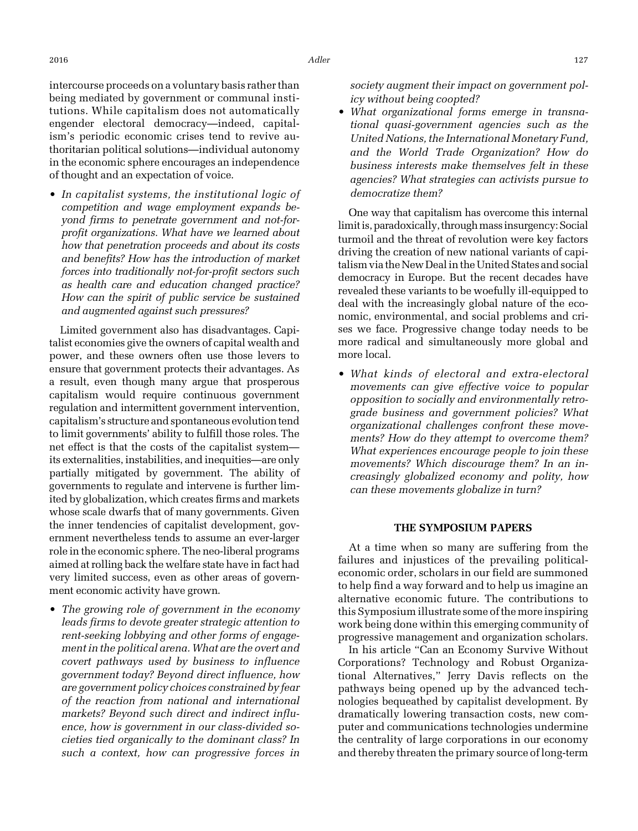intercourse proceeds on a voluntary basis rather than being mediated by government or communal institutions. While capitalism does not automatically engender electoral democracy—indeed, capitalism's periodic economic crises tend to revive authoritarian political solutions—individual autonomy in the economic sphere encourages an independence of thought and an expectation of voice.

• In capitalist systems, the institutional logic of competition and wage employment expands beyond firms to penetrate government and not-forprofit organizations. What have we learned about how that penetration proceeds and about its costs and benefits? How has the introduction of market forces into traditionally not-for-profit sectors such as health care and education changed practice? How can the spirit of public service be sustained and augmented against such pressures?

Limited government also has disadvantages. Capitalist economies give the owners of capital wealth and power, and these owners often use those levers to ensure that government protects their advantages. As a result, even though many argue that prosperous capitalism would require continuous government regulation and intermittent government intervention, capitalism's structure and spontaneous evolution tend to limit governments' ability to fulfill those roles. The net effect is that the costs of the capitalist system its externalities, instabilities, and inequities—are only partially mitigated by government. The ability of governments to regulate and intervene is further limited by globalization, which creates firms and markets whose scale dwarfs that of many governments. Given the inner tendencies of capitalist development, government nevertheless tends to assume an ever-larger role in the economic sphere. The neo-liberal programs aimed at rolling back the welfare state have in fact had very limited success, even as other areas of government economic activity have grown.

• The growing role of government in the economy leads firms to devote greater strategic attention to rent-seeking lobbying and other forms of engagement in the political arena. What are the overt and covert pathways used by business to influence government today? Beyond direct influence, how are government policy choices constrained by fear of the reaction from national and international markets? Beyond such direct and indirect influence, how is government in our class-divided societies tied organically to the dominant class? In such a context, how can progressive forces in

society augment their impact on government policy without being coopted?

• What organizational forms emerge in transnational quasi-government agencies such as the United Nations, the International Monetary Fund, and the World Trade Organization? How do business interests make themselves felt in these agencies? What strategies can activists pursue to democratize them?

One way that capitalism has overcome this internal limit is, paradoxically, throughmass insurgency: Social turmoil and the threat of revolution were key factors driving the creation of new national variants of capitalism via the New Deal in the United States and social democracy in Europe. But the recent decades have revealed these variants to be woefully ill-equipped to deal with the increasingly global nature of the economic, environmental, and social problems and crises we face. Progressive change today needs to be more radical and simultaneously more global and more local.

• What kinds of electoral and extra-electoral movements can give effective voice to popular opposition to socially and environmentally retrograde business and government policies? What organizational challenges confront these movements? How do they attempt to overcome them? What experiences encourage people to join these movements? Which discourage them? In an increasingly globalized economy and polity, how can these movements globalize in turn?

#### THE SYMPOSIUM PAPERS

At a time when so many are suffering from the failures and injustices of the prevailing politicaleconomic order, scholars in our field are summoned to help find a way forward and to help us imagine an alternative economic future. The contributions to this Symposium illustrate some of the more inspiring work being done within this emerging community of progressive management and organization scholars.

In his article "Can an Economy Survive Without Corporations? Technology and Robust Organizational Alternatives," Jerry Davis reflects on the pathways being opened up by the advanced technologies bequeathed by capitalist development. By dramatically lowering transaction costs, new computer and communications technologies undermine the centrality of large corporations in our economy and thereby threaten the primary source of long-term